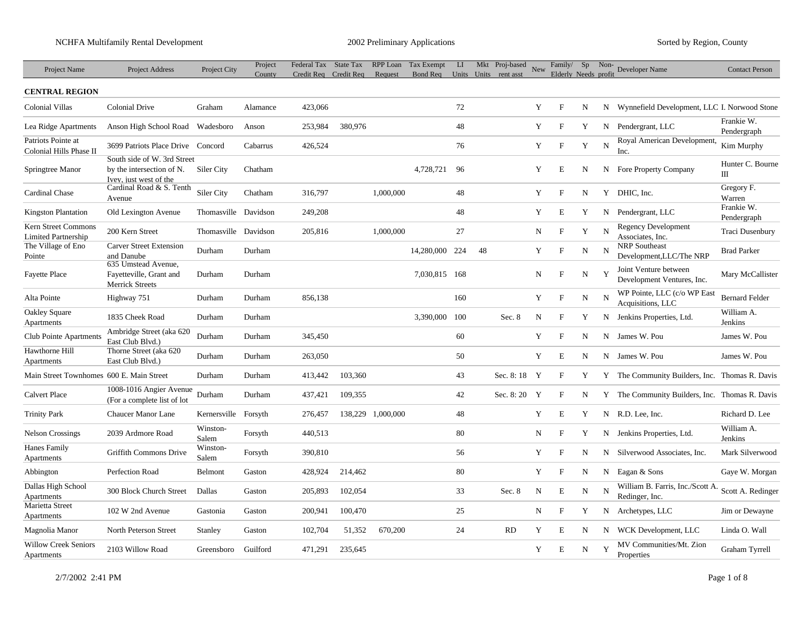| Project Name                                      | Project Address                                                                    | Project City      | Project<br>County | Federal Tax<br>Credit Req Credit Req | State Tax | RPP Loan<br>Request | Tax Exempt<br>Bond Req Units Units rent asst | LI  |    | Mkt Proj-based | New | Family/<br>Elderly Needs profit | Sp          | Non- | Developer Name                                      | <b>Contact Person</b>     |
|---------------------------------------------------|------------------------------------------------------------------------------------|-------------------|-------------------|--------------------------------------|-----------|---------------------|----------------------------------------------|-----|----|----------------|-----|---------------------------------|-------------|------|-----------------------------------------------------|---------------------------|
| <b>CENTRAL REGION</b>                             |                                                                                    |                   |                   |                                      |           |                     |                                              |     |    |                |     |                                 |             |      |                                                     |                           |
| <b>Colonial Villas</b>                            | <b>Colonial Drive</b>                                                              | Graham            | Alamance          | 423,066                              |           |                     |                                              | 72  |    |                | Y   | $\mathbf{F}$                    | N           |      | N Wynnefield Development, LLC I. Norwood Stone      |                           |
| Lea Ridge Apartments                              | Anson High School Road                                                             | Wadesboro         | Anson             | 253,984                              | 380,976   |                     |                                              | 48  |    |                | Y   | F                               | Y           | N    | Pendergrant, LLC                                    | Frankie W.<br>Pendergraph |
| Patriots Pointe at<br>Colonial Hills Phase II     | 3699 Patriots Place Drive Concord                                                  |                   | Cabarrus          | 426,524                              |           |                     |                                              | 76  |    |                | Y   | $\boldsymbol{\mathrm{F}}$       | Y           | N    | Royal American Development,<br>Inc.                 | Kim Murphy                |
| Springtree Manor                                  | South side of W. 3rd Street<br>by the intersection of N.<br>Ivey, just west of the | Siler City        | Chatham           |                                      |           |                     | 4,728,721                                    | 96  |    |                | Y   | E                               | N           | N    | <b>Fore Property Company</b>                        | Hunter C. Bourne<br>Ш     |
| Cardinal Chase                                    | Cardinal Road & S. Tenth<br>Avenue                                                 | Siler City        | Chatham           | 316,797                              |           | 1,000,000           |                                              | 48  |    |                | Y   | $\mathbf{F}$                    | N           |      | Y DHIC, Inc.                                        | Gregory F.<br>Warren      |
| <b>Kingston Plantation</b>                        | Old Lexington Avenue                                                               | Thomasville       | Davidson          | 249,208                              |           |                     |                                              | 48  |    |                | Y   | $\mathbf E$                     | Y           | N    | Pendergrant, LLC                                    | Frankie W.<br>Pendergraph |
| Kern Street Commons<br><b>Limited Partnership</b> | 200 Kern Street                                                                    | Thomasville       | Davidson          | 205,816                              |           | 1,000,000           |                                              | 27  |    |                | N   | $\rm F$                         | Y           | N    | Regency Development<br>Associates, Inc.             | Traci Dusenbury           |
| The Village of Eno<br>Pointe                      | <b>Carver Street Extension</b><br>and Danube                                       | Durham            | Durham            |                                      |           |                     | 14,280,000                                   | 224 | 48 |                | Y   | $\boldsymbol{\mathrm{F}}$       | $\mathbf N$ | N    | <b>NRP</b> Southeast<br>Development, LLC/The NRP    | <b>Brad Parker</b>        |
| <b>Fayette Place</b>                              | 635 Umstead Avenue,<br>Fayetteville, Grant and<br><b>Merrick Streets</b>           | Durham            | Durham            |                                      |           |                     | 7,030,815 168                                |     |    |                | N   | $\rm F$                         | N           | Y    | Joint Venture between<br>Development Ventures, Inc. | Mary McCallister          |
| Alta Pointe                                       | Highway 751                                                                        | Durham            | Durham            | 856,138                              |           |                     |                                              | 160 |    |                | Y   | $\rm F$                         | N           | N    | WP Pointe, LLC (c/o WP East<br>Acquisitions, LLC    | <b>Bernard Felder</b>     |
| Oakley Square<br>Apartments                       | 1835 Cheek Road                                                                    | Durham            | Durham            |                                      |           |                     | 3,390,000                                    | 100 |    | Sec. 8         | N   | $\mathbf{F}$                    | Y           | N    | Jenkins Properties, Ltd.                            | William A.<br>Jenkins     |
| Club Pointe Apartments                            | Ambridge Street (aka 620<br>East Club Blvd.)                                       | Durham            | Durham            | 345,450                              |           |                     |                                              | 60  |    |                | Y   | $\mathbf{F}$                    | N           |      | N James W. Pou                                      | James W. Pou              |
| Hawthorne Hill<br>Apartments                      | Thorne Street (aka 620<br>East Club Blvd.)                                         | Durham            | Durham            | 263,050                              |           |                     |                                              | 50  |    |                | Y   | E                               | N           |      | N James W. Pou                                      | James W. Pou              |
| Main Street Townhomes 600 E. Main Street          |                                                                                    | Durham            | Durham            | 413,442                              | 103,360   |                     |                                              | 43  |    | Sec. 8:18 Y    |     | $\mathbf{F}$                    | Y           |      | Y The Community Builders, Inc. Thomas R. Davis      |                           |
| <b>Calvert Place</b>                              | 1008-1016 Angier Avenue<br>(For a complete list of lot                             | Durham            | Durham            | 437,421                              | 109,355   |                     |                                              | 42  |    | Sec. 8:20 Y    |     | F                               | N           |      | Y The Community Builders, Inc. Thomas R. Davis      |                           |
| <b>Trinity Park</b>                               | <b>Chaucer Manor Lane</b>                                                          | Kernersville      | Forsyth           | 276,457                              |           | 138,229 1,000,000   |                                              | 48  |    |                | Y   | $\mathbf E$                     | Y           |      | N R.D. Lee, Inc.                                    | Richard D. Lee            |
| <b>Nelson Crossings</b>                           | 2039 Ardmore Road                                                                  | Winston-<br>Salem | Forsyth           | 440,513                              |           |                     |                                              | 80  |    |                | N   | $\mathbf{F}$                    | Y           |      | N Jenkins Properties, Ltd.                          | William A.<br>Jenkins     |
| Hanes Family<br>Apartments                        | Griffith Commons Drive                                                             | Winston-<br>Salem | Forsyth           | 390,810                              |           |                     |                                              | 56  |    |                | Y   | $_{\rm F}$                      | N           | N    | Silverwood Associates, Inc.                         | Mark Silverwood           |
| Abbington                                         | Perfection Road                                                                    | Belmont           | Gaston            | 428,924                              | 214,462   |                     |                                              | 80  |    |                | Y   | $\rm F$                         | N           | N    | Eagan & Sons                                        | Gaye W. Morgan            |
| Dallas High School<br>Apartments                  | 300 Block Church Street                                                            | Dallas            | Gaston            | 205,893                              | 102,054   |                     |                                              | 33  |    | Sec. 8         | N   | E                               | N           | N    | William B. Farris, Inc./Scott A.<br>Redinger, Inc.  | Scott A. Redinger         |
| Marietta Street<br>Apartments                     | 102 W 2nd Avenue                                                                   | Gastonia          | Gaston            | 200,941                              | 100,470   |                     |                                              | 25  |    |                | N   | $\rm F$                         | Y           | N    | Archetypes, LLC                                     | Jim or Dewayne            |
| Magnolia Manor                                    | North Peterson Street                                                              | Stanley           | Gaston            | 102,704                              | 51,352    | 670,200             |                                              | 24  |    | <b>RD</b>      | Y   | $\mathbf E$                     | N           | N    | WCK Development, LLC                                | Linda O. Wall             |
| <b>Willow Creek Seniors</b><br>Apartments         | 2103 Willow Road                                                                   | Greensboro        | Guilford          | 471,291                              | 235,645   |                     |                                              |     |    |                | Y   | E                               | N           | Y    | MV Communities/Mt. Zion<br>Properties               | Graham Tyrrell            |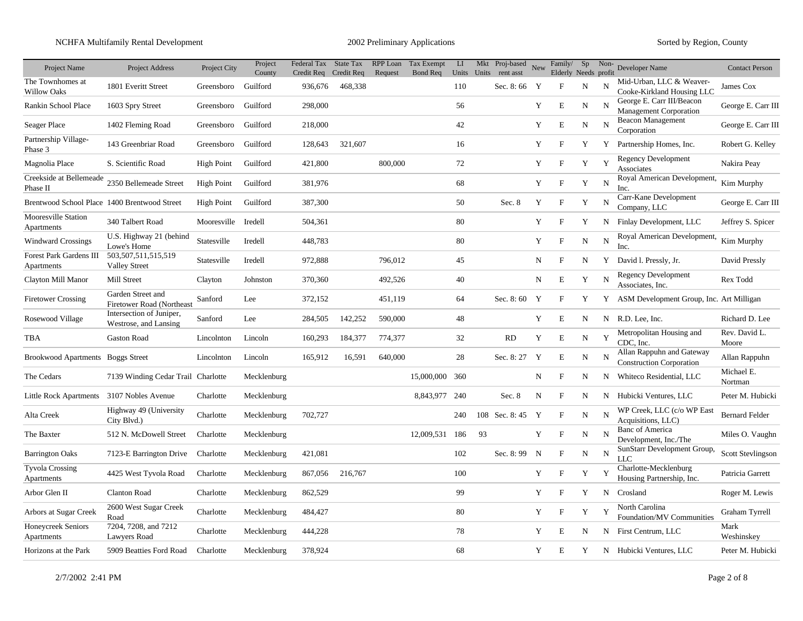## NCHFA Multifamily Rental Development 2002 Preliminary Applications Sorted by Region, County

| Project Name                                 | <b>Project Address</b>                            | Project City      | Project            | Federal Tax State Tax            |         | RPP Loan | Tax Exempt     | $\mathbf{L}\mathbf{I}$ |    | Mkt Proj-based<br>Units Units rent asst | New | Family/                             | Sp          | Non-        | Developer Name                                               | <b>Contact Person</b>    |
|----------------------------------------------|---------------------------------------------------|-------------------|--------------------|----------------------------------|---------|----------|----------------|------------------------|----|-----------------------------------------|-----|-------------------------------------|-------------|-------------|--------------------------------------------------------------|--------------------------|
| The Townhomes at<br><b>Willow Oaks</b>       | 1801 Everitt Street                               | Greensboro        | County<br>Guilford | Credit Req Credit Req<br>936,676 | 468,338 | Request  | Bond Req       | 110                    |    | Sec. 8:66 Y                             |     | Elderly Needs profit<br>$\mathbf F$ | N           | N           | Mid-Urban, LLC & Weaver-<br>Cooke-Kirkland Housing LLC       | James Cox                |
| Rankin School Place                          | 1603 Spry Street                                  | Greensboro        | Guilford           | 298,000                          |         |          |                | 56                     |    |                                         | Y   | E                                   | N           | N           | George E. Carr III/Beacon<br><b>Management Corporation</b>   | George E. Carr III       |
| Seager Place                                 | 1402 Fleming Road                                 | Greensboro        | Guilford           | 218,000                          |         |          |                | 42                     |    |                                         | Y   | $\mathbf E$                         | ${\rm N}$   | N           | <b>Beacon Management</b><br>Corporation                      | George E. Carr III       |
| Partnership Village-<br>Phase 3              | 143 Greenbriar Road                               | Greensboro        | Guilford           | 128,643                          | 321,607 |          |                | 16                     |    |                                         | Y   | F                                   | Y           | Y           | Partnership Homes, Inc.                                      | Robert G. Kelley         |
| Magnolia Place                               | S. Scientific Road                                | <b>High Point</b> | Guilford           | 421,800                          |         | 800,000  |                | 72                     |    |                                         | Y   | F                                   | Y           | Y           | <b>Regency Development</b><br>Associates                     | Nakira Peay              |
| Creekside at Bellemeade<br>Phase II          | 2350 Bellemeade Street                            | <b>High Point</b> | Guilford           | 381,976                          |         |          |                | 68                     |    |                                         | Y   | $\boldsymbol{\mathrm{F}}$           | Y           | N           | Royal American Development,<br>Inc.                          | Kim Murphy               |
| Brentwood School Place 1400 Brentwood Street |                                                   | <b>High Point</b> | Guilford           | 387,300                          |         |          |                | 50                     |    | Sec. 8                                  | Y   | $_{\rm F}$                          | Y           | N           | Carr-Kane Development<br>Company, LLC                        | George E. Carr III       |
| <b>Mooresville Station</b><br>Apartments     | 340 Talbert Road                                  | Mooresville       | Iredell            | 504,361                          |         |          |                | 80                     |    |                                         | Y   | $\mathbf{F}$                        | Y           | N           | Finlay Development, LLC                                      | Jeffrey S. Spicer        |
| <b>Windward Crossings</b>                    | U.S. Highway 21 (behind<br>Lowe's Home            | Statesville       | Iredell            | 448,783                          |         |          |                | 80                     |    |                                         | Y   | $\mathbf F$                         | $\mathbf N$ | $\mathbf N$ | Royal American Development,<br>Inc.                          | Kim Murphy               |
| Forest Park Gardens III<br>Apartments        | 503,507,511,515,519<br><b>Valley Street</b>       | Statesville       | Iredell            | 972,888                          |         | 796,012  |                | 45                     |    |                                         | N   | $\mathbf F$                         | N           |             | Y David I. Pressly, Jr.                                      | David Pressly            |
| Clayton Mill Manor                           | Mill Street                                       | Clayton           | Johnston           | 370,360                          |         | 492,526  |                | 40                     |    |                                         | N   | E                                   | Y           | N           | <b>Regency Development</b><br>Associates, Inc.               | Rex Todd                 |
| <b>Firetower Crossing</b>                    | Garden Street and<br>Firetower Road (Northeast    | Sanford           | Lee                | 372,152                          |         | 451,119  |                | 64                     |    | Sec. 8:60 Y                             |     | F                                   | Y           |             | Y ASM Development Group, Inc. Art Milligan                   |                          |
| Rosewood Village                             | Intersection of Juniper,<br>Westrose, and Lansing | Sanford           | Lee                | 284,505                          | 142,252 | 590,000  |                | 48                     |    |                                         | Y   | E                                   | N           |             | N R.D. Lee. Inc.                                             | Richard D. Lee           |
| TBA                                          | Gaston Road                                       | Lincolnton        | Lincoln            | 160,293                          | 184,377 | 774,377  |                | 32                     |    | RD                                      | Y   | E                                   | N           | Y           | Metropolitan Housing and<br>CDC. Inc.                        | Rev. David L.<br>Moore   |
| Brookwood Apartments Boggs Street            |                                                   | Lincolnton        | Lincoln            | 165,912                          | 16,591  | 640,000  |                | 28                     |    | Sec. 8: 27 Y                            |     | $\mathbf E$                         | N           | N           | Allan Rappuhn and Gateway<br><b>Construction Corporation</b> | Allan Rappuhn            |
| The Cedars                                   | 7139 Winding Cedar Trail Charlotte                |                   | Mecklenburg        |                                  |         |          | 15,000,000     | 360                    |    |                                         | N   | $\rm F$                             | N           | N           | Whiteco Residential, LLC                                     | Michael E.<br>Nortman    |
| Little Rock Apartments 3107 Nobles Avenue    |                                                   | Charlotte         | Mecklenburg        |                                  |         |          | 8,843,977      | 240                    |    | Sec. 8                                  | N   | $\mathbf{F}$                        | N           | N           | Hubicki Ventures, LLC                                        | Peter M. Hubicki         |
| Alta Creek                                   | Highway 49 (University<br>City Blvd.)             | Charlotte         | Mecklenburg        | 702,727                          |         |          |                | 240                    |    | 108 Sec. 8:45 Y                         |     | $\mathbf F$                         | $\mathbf N$ | N           | WP Creek, LLC (c/o WP East<br>Acquisitions, LLC)             | <b>Bernard Felder</b>    |
| The Baxter                                   | 512 N. McDowell Street                            | Charlotte         | Mecklenburg        |                                  |         |          | 12,009,531 186 |                        | 93 |                                         | Y   | $\boldsymbol{\mathrm{F}}$           | N           | N           | <b>Banc of America</b><br>Development, Inc./The              | Miles O. Vaughn          |
| <b>Barrington Oaks</b>                       | 7123-E Barrington Drive                           | Charlotte         | Mecklenburg        | 421,081                          |         |          |                | 102                    |    | Sec. 8:99 N                             |     | F                                   | N           | N           | SunStarr Development Group,<br>LLC                           | <b>Scott Stevlingson</b> |
| <b>Tyvola Crossing</b><br>Apartments         | 4425 West Tyvola Road                             | Charlotte         | Mecklenburg        | 867,056                          | 216,767 |          |                | 100                    |    |                                         | Y   | $\boldsymbol{\mathrm{F}}$           | Y           | Y           | Charlotte-Mecklenburg<br>Housing Partnership, Inc.           | Patricia Garrett         |
| Arbor Glen II                                | <b>Clanton Road</b>                               | Charlotte         | Mecklenburg        | 862,529                          |         |          |                | 99                     |    |                                         | Y   | F                                   | Y           | N           | Crosland                                                     | Roger M. Lewis           |
| Arbors at Sugar Creek                        | 2600 West Sugar Creek<br>Road                     | Charlotte         | Mecklenburg        | 484,427                          |         |          |                | 80                     |    |                                         | Y   | F                                   | Y           | Y           | North Carolina<br>Foundation/MV Communities                  | Graham Tyrrell           |
| Honeycreek Seniors<br>Apartments             | 7204, 7208, and 7212<br>Lawyers Road              | Charlotte         | Mecklenburg        | 444,228                          |         |          |                | 78                     |    |                                         | Y   | E                                   | N           | N           | First Centrum, LLC                                           | Mark<br>Weshinskey       |
| Horizons at the Park                         | 5909 Beatties Ford Road                           | Charlotte         | Mecklenburg        | 378,924                          |         |          |                | 68                     |    |                                         | Y   | Ε                                   | Y           |             | N Hubicki Ventures, LLC                                      | Peter M. Hubicki         |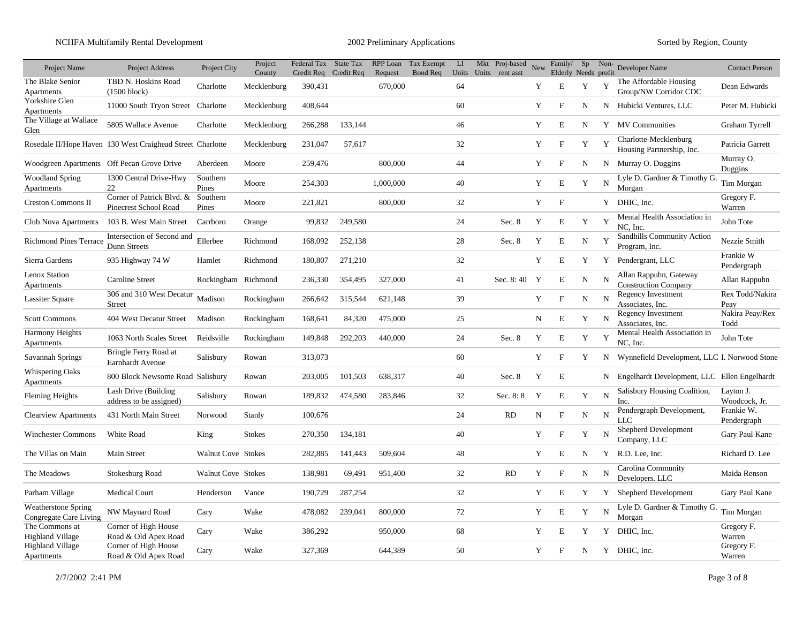| Project Name                                         | <b>Project Address</b>                                     | Project City              | Project<br>County | Federal Tax State Tax<br>Credit Req Credit Req |         | RPP Loan<br>Request | Tax Exempt<br>Bond Req | LI | Mkt Proj-based<br>Units Units rent asst | New | Family/<br>Elderly Needs profit | Sp | Non-        | Developer Name                                        | <b>Contact Person</b>      |
|------------------------------------------------------|------------------------------------------------------------|---------------------------|-------------------|------------------------------------------------|---------|---------------------|------------------------|----|-----------------------------------------|-----|---------------------------------|----|-------------|-------------------------------------------------------|----------------------------|
| The Blake Senior<br>Apartments                       | TBD N. Hoskins Road<br>$(1500 \text{ block})$              | Charlotte                 | Mecklenburg       | 390,431                                        |         | 670,000             |                        | 64 |                                         | Y   | E                               | Y  | Y           | The Affordable Housing<br>Group/NW Corridor CDC       | Dean Edwards               |
| Yorkshire Glen<br>Apartments                         | 11000 South Tryon Street Charlotte                         |                           | Mecklenburg       | 408,644                                        |         |                     |                        | 60 |                                         | Y   | $\mathbf F$                     | N  |             | N Hubicki Ventures, LLC                               | Peter M. Hubicki           |
| The Village at Wallace<br>Glen                       | 5805 Wallace Avenue                                        | Charlotte                 | Mecklenburg       | 266,288                                        | 133,144 |                     |                        | 46 |                                         | Y   | E                               | N  |             | Y MV Communities                                      | Graham Tyrrell             |
|                                                      | Rosedale II/Hope Haven 130 West Craighead Street Charlotte |                           | Mecklenburg       | 231,047                                        | 57,617  |                     |                        | 32 |                                         | Y   | $\mathbf{F}$                    | Y  | Y           | Charlotte-Mecklenburg<br>Housing Partnership, Inc.    | Patricia Garrett           |
| Woodgreen Apartments Off Pecan Grove Drive           |                                                            | Aberdeen                  | Moore             | 259,476                                        |         | 800,000             |                        | 44 |                                         | Y   | $\mathbf F$                     | N  |             | N Murray O. Duggins                                   | Murray O.<br>Duggins       |
| <b>Woodland Spring</b><br>Apartments                 | 1300 Central Drive-Hwy<br>22                               | Southern<br>Pines         | Moore             | 254,303                                        |         | 1,000,000           |                        | 40 |                                         | Y   | E                               | Y  | N           | Lyle D. Gardner & Timothy G<br>Morgan                 | Tim Morgan                 |
| <b>Creston Commons II</b>                            | Corner of Patrick Blvd. &<br>Pinecrest School Road         | Southern<br>Pines         | Moore             | 221,821                                        |         | 800,000             |                        | 32 |                                         | Y   | $\mathbf{F}$                    |    |             | Y DHIC, Inc.                                          | Gregory F.<br>Warren       |
| Club Nova Apartments                                 | 103 B. West Main Street                                    | Carrboro                  | Orange            | 99,832                                         | 249,580 |                     |                        | 24 | Sec. 8                                  | Y   | E                               | Y  | Y           | Mental Health Association in<br>NC. Inc.              | John Tote                  |
| <b>Richmond Pines Terrace</b>                        | Intersection of Second and<br>Dunn Streets                 | Ellerbee                  | Richmond          | 168,092                                        | 252,138 |                     |                        | 28 | Sec. 8                                  | Y   | E                               | N  | Y           | Sandhills Community Action<br>Program, Inc.           | Nezzie Smith               |
| Sierra Gardens                                       | 935 Highway 74 W                                           | Hamlet                    | Richmond          | 180,807                                        | 271,210 |                     |                        | 32 |                                         | Y   | E                               | Y  | Y           | Pendergrant, LLC                                      | Frankie W<br>Pendergraph   |
| Lenox Station<br>Apartments                          | Caroline Street                                            | Rockingham Richmond       |                   | 236,330                                        | 354,495 | 327,000             |                        | 41 | Sec. 8:40 Y                             |     | E                               | N  | N           | Allan Rappuhn, Gateway<br><b>Construction Company</b> | Allan Rappuhn              |
| <b>Lassiter Square</b>                               | 306 and 310 West Decatur<br><b>Street</b>                  | Madison                   | Rockingham        | 266,642                                        | 315,544 | 621,148             |                        | 39 |                                         | Y   | $\mathbf{F}$                    | N  | $\mathbf N$ | <b>Regency Investment</b><br>Associates, Inc.         | Rex Todd/Nakira<br>Peay    |
| <b>Scott Commons</b>                                 | 404 West Decatur Street                                    | Madison                   | Rockingham        | 168,641                                        | 84,320  | 475,000             |                        | 25 |                                         | N   | E                               | Y  | N           | Regency Investment<br>Associates, Inc.                | Nakira Peay/Rex<br>Todd    |
| <b>Harmony Heights</b><br>Apartments                 | 1063 North Scales Street                                   | Reidsville                | Rockingham        | 149,848                                        | 292,203 | 440,000             |                        | 24 | Sec. 8                                  | Y   | E                               | Y  | Y           | Mental Health Association in<br>NC, Inc.              | John Tote                  |
| Savannah Springs                                     | Bringle Ferry Road at<br>Earnhardt Avenue                  | Salisbury                 | Rowan             | 313,073                                        |         |                     |                        | 60 |                                         | Y   | $\mathbf F$                     | Y  | N           | Wynnefield Development, LLC I. Norwood Stone          |                            |
| <b>Whispering Oaks</b><br>Apartments                 | 800 Block Newsome Road Salisbury                           |                           | Rowan             | 203,005                                        | 101,503 | 638,317             |                        | 40 | Sec. 8                                  | Y   | $\mathbf E$                     |    |             | N Engelhardt Development, LLC Ellen Engelhardt        |                            |
| <b>Fleming Heights</b>                               | Lash Drive (Building<br>address to be assigned)            | Salisbury                 | Rowan             | 189,832                                        | 474,580 | 283,846             |                        | 32 | Sec. 8: 8                               | Y   | E                               | Y  | $\mathbf N$ | Salisbury Housing Coalition,<br>Inc.                  | Layton J.<br>Woodcock, Jr. |
| <b>Clearview Apartments</b>                          | 431 North Main Street                                      | Norwood                   | Stanly            | 100,676                                        |         |                     |                        | 24 | <b>RD</b>                               | N   | $\mathbf{F}$                    | N  | N           | Pendergraph Development,<br>LLC                       | Frankie W.<br>Pendergraph  |
| <b>Winchester Commons</b>                            | White Road                                                 | King                      | <b>Stokes</b>     | 270,350                                        | 134,181 |                     |                        | 40 |                                         | Y   | $\mathbf F$                     | Y  | N           | Shepherd Development<br>Company, LLC                  | Gary Paul Kane             |
| The Villas on Main                                   | Main Street                                                | <b>Walnut Cove Stokes</b> |                   | 282,885                                        | 141,443 | 509,604             |                        | 48 |                                         | Y   | Ε                               | N  | Y           | R.D. Lee, Inc.                                        | Richard D. Lee             |
| The Meadows                                          | Stokesburg Road                                            | Walnut Cove Stokes        |                   | 138,981                                        | 69,491  | 951,400             |                        | 32 | RD                                      | Y   | $\mathbf{F}$                    | N  | N           | Carolina Community<br>Developers. LLC                 | Maida Renson               |
| Parham Village                                       | <b>Medical Court</b>                                       | Henderson                 | Vance             | 190,729                                        | 287,254 |                     |                        | 32 |                                         | Y   | E                               | Y  | Y           | Shepherd Development                                  | Gary Paul Kane             |
| <b>Weatherstone Spring</b><br>Congregate Care Living | NW Maynard Road                                            | Cary                      | Wake              | 478,082                                        | 239,041 | 800,000             |                        | 72 |                                         | Y   | E                               | Y  | N           | Lyle D. Gardner & Timothy G.<br>Morgan                | Tim Morgan                 |
| The Commons at<br><b>Highland Village</b>            | Corner of High House<br>Road & Old Apex Road               | Cary                      | Wake              | 386,292                                        |         | 950,000             |                        | 68 |                                         | Y   | E                               | Y  | Y           | DHIC, Inc.                                            | Gregory F.<br>Warren       |
| <b>Highland Village</b><br>Apartments                | Corner of High House<br>Road & Old Apex Road               | Cary                      | Wake              | 327,369                                        |         | 644,389             |                        | 50 |                                         | Y   | $_{\rm F}$                      | N  |             | Y DHIC, Inc.                                          | Gregory F.<br>Warren       |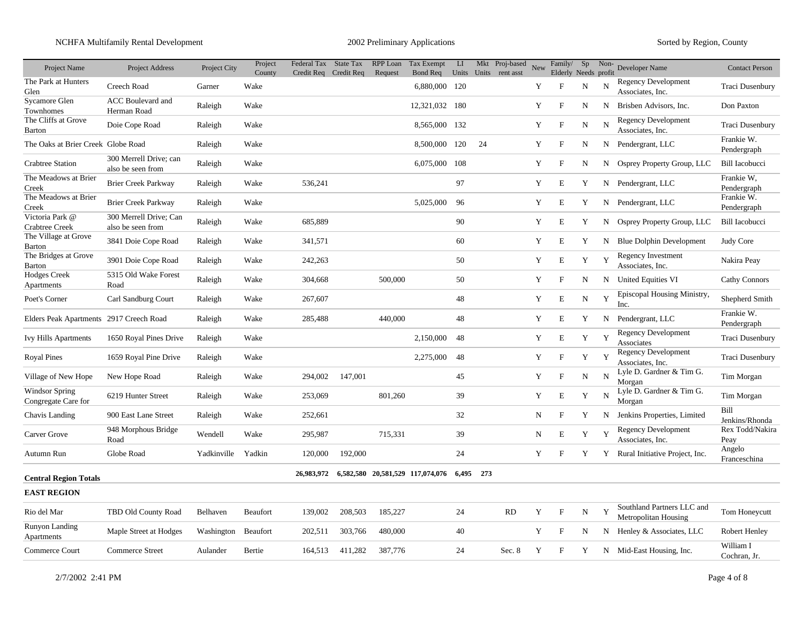NCHFA Multifamily Rental Development 2002 Preliminary Applications Sorted by Region, County

| Project Name                             | Project Address                             | Project City | Project<br>County | Federal Tax State Tax<br>Credit Req Credit Req |         | RPP Loan<br>Request | Tax Exempt<br>Bond Req           | $\mathbf{L}\mathbf{I}$ |       | Mkt Proj-based<br>Units Units rent asst | New | Family/<br>Elderly Needs profit | Sp          | Non- | Developer Name                                     | <b>Contact Person</b>     |
|------------------------------------------|---------------------------------------------|--------------|-------------------|------------------------------------------------|---------|---------------------|----------------------------------|------------------------|-------|-----------------------------------------|-----|---------------------------------|-------------|------|----------------------------------------------------|---------------------------|
| The Park at Hunters<br>Glen              | Creech Road                                 | Garner       | Wake              |                                                |         |                     | 6,880,000 120                    |                        |       |                                         | Y   | $\boldsymbol{\mathrm{F}}$       | N           | N    | <b>Regency Development</b><br>Associates, Inc.     | Traci Dusenbury           |
| Sycamore Glen<br>Townhomes               | <b>ACC</b> Boulevard and<br>Herman Road     | Raleigh      | Wake              |                                                |         |                     | 12,321,032 180                   |                        |       |                                         | Y   | $_{\rm F}$                      | N           | N    | Brisben Advisors, Inc.                             | Don Paxton                |
| The Cliffs at Grove<br>Barton            | Doie Cope Road                              | Raleigh      | Wake              |                                                |         |                     | 8,565,000                        | 132                    |       |                                         | Y   | $\boldsymbol{\mathrm{F}}$       | N           | N    | <b>Regency Development</b><br>Associates, Inc.     | Traci Dusenbury           |
| The Oaks at Brier Creek Globe Road       |                                             | Raleigh      | Wake              |                                                |         |                     | 8,500,000                        | 120                    | 24    |                                         | Y   | $_{\rm F}$                      | N           |      | N Pendergrant, LLC                                 | Frankie W.<br>Pendergraph |
| <b>Crabtree Station</b>                  | 300 Merrell Drive; can<br>also be seen from | Raleigh      | Wake              |                                                |         |                     | 6,075,000                        | 108                    |       |                                         | Y   | $_{\rm F}$                      | N           | N    | Osprey Property Group, LLC                         | <b>Bill Iacobucci</b>     |
| The Meadows at Brier<br>Creek            | <b>Brier Creek Parkway</b>                  | Raleigh      | Wake              | 536,241                                        |         |                     |                                  | 97                     |       |                                         | Y   | E                               | Y           | N    | Pendergrant, LLC                                   | Frankie W,<br>Pendergraph |
| The Meadows at Brier<br>Creek            | <b>Brier Creek Parkway</b>                  | Raleigh      | Wake              |                                                |         |                     | 5,025,000                        | 96                     |       |                                         | Y   | E                               | Y           | N    | Pendergrant, LLC                                   | Frankie W.<br>Pendergraph |
| Victoria Park @<br><b>Crabtree Creek</b> | 300 Merrell Drive; Can<br>also be seen from | Raleigh      | Wake              | 685,889                                        |         |                     |                                  | 90                     |       |                                         | Y   | E                               | Y           |      | N Osprey Property Group, LLC                       | <b>Bill Iacobucci</b>     |
| The Village at Grove<br>Barton           | 3841 Doie Cope Road                         | Raleigh      | Wake              | 341,571                                        |         |                     |                                  | 60                     |       |                                         | Y   | E                               | Y           |      | N Blue Dolphin Development                         | Judy Core                 |
| The Bridges at Grove<br>Barton           | 3901 Doie Cope Road                         | Raleigh      | Wake              | 242,263                                        |         |                     |                                  | 50                     |       |                                         | Y   | $\mathbf E$                     | Y           | Y    | <b>Regency Investment</b><br>Associates, Inc.      | Nakira Peay               |
| <b>Hodges Creek</b><br>Apartments        | 5315 Old Wake Forest<br>Road                | Raleigh      | Wake              | 304,668                                        |         | 500,000             |                                  | 50                     |       |                                         | Y   | $_{\rm F}$                      | N           |      | N United Equities VI                               | <b>Cathy Connors</b>      |
| Poet's Corner                            | Carl Sandburg Court                         | Raleigh      | Wake              | 267,607                                        |         |                     |                                  | 48                     |       |                                         | Y   | E                               | N           | Y    | Episcopal Housing Ministry,<br>Inc.                | Shepherd Smith            |
| Elders Peak Apartments 2917 Creech Road  |                                             | Raleigh      | Wake              | 285,488                                        |         | 440,000             |                                  | 48                     |       |                                         | Y   | E                               | Y           | N    | Pendergrant, LLC                                   | Frankie W.<br>Pendergraph |
| <b>Ivy Hills Apartments</b>              | 1650 Royal Pines Drive                      | Raleigh      | Wake              |                                                |         |                     | 2,150,000                        | 48                     |       |                                         | Y   | E                               | Y           | Y    | Regency Development<br>Associates                  | Traci Dusenbury           |
| <b>Royal Pines</b>                       | 1659 Royal Pine Drive                       | Raleigh      | Wake              |                                                |         |                     | 2,275,000                        | 48                     |       |                                         | Y   | $\mathbf F$                     | Y           | Y    | <b>Regency Development</b><br>Associates, Inc.     | Traci Dusenbury           |
| Village of New Hope                      | New Hope Road                               | Raleigh      | Wake              | 294,002                                        | 147,001 |                     |                                  | 45                     |       |                                         | Y   | $_{\rm F}$                      | ${\bf N}$   | N    | Lyle D. Gardner & Tim G.<br>Morgan                 | Tim Morgan                |
| Windsor Spring<br>Congregate Care for    | 6219 Hunter Street                          | Raleigh      | Wake              | 253,069                                        |         | 801,260             |                                  | 39                     |       |                                         | Y   | E                               | Y           | N    | Lyle D. Gardner & Tim G.<br>Morgan                 | Tim Morgan                |
| Chavis Landing                           | 900 East Lane Street                        | Raleigh      | Wake              | 252,661                                        |         |                     |                                  | 32                     |       |                                         | N   | $\mathbf F$                     | Y           | N    | Jenkins Properties, Limited                        | Bill<br>Jenkins/Rhonda    |
| Carver Grove                             | 948 Morphous Bridge<br>Road                 | Wendell      | Wake              | 295,987                                        |         | 715,331             |                                  | 39                     |       |                                         | N   | E                               | Y           | Y    | <b>Regency Development</b><br>Associates, Inc.     | Rex Todd/Nakira<br>Peay   |
| Autumn Run                               | Globe Road                                  | Yadkinville  | Yadkin            | 120,000                                        | 192,000 |                     |                                  | 24                     |       |                                         | Y   | F                               | Y           |      | Y Rural Initiative Project, Inc.                   | Angelo<br>Franceschina    |
| <b>Central Region Totals</b>             |                                             |              |                   | 26,983,972                                     |         |                     | 6,582,580 20,581,529 117,074,076 | 6.495                  | - 273 |                                         |     |                                 |             |      |                                                    |                           |
| <b>EAST REGION</b>                       |                                             |              |                   |                                                |         |                     |                                  |                        |       |                                         |     |                                 |             |      |                                                    |                           |
| Rio del Mar                              | TBD Old County Road                         | Belhaven     | Beaufort          | 139,002                                        | 208,503 | 185,227             |                                  | 24                     |       | RD                                      | Y   | $\boldsymbol{\mathrm{F}}$       | $\mathbf N$ | Y    | Southland Partners LLC and<br>Metropolitan Housing | Tom Honeycutt             |
| Runyon Landing<br>Apartments             | Maple Street at Hodges                      | Washington   | Beaufort          | 202,511                                        | 303,766 | 480,000             |                                  | 40                     |       |                                         | Y   | $\boldsymbol{\mathrm{F}}$       | N           | N    | Henley & Associates, LLC                           | Robert Henley             |
| Commerce Court                           | Commerce Street                             | Aulander     | Bertie            | 164,513                                        | 411,282 | 387,776             |                                  | 24                     |       | Sec. 8                                  | Y   | F                               | Y           |      | N Mid-East Housing, Inc.                           | William I<br>Cochran, Jr. |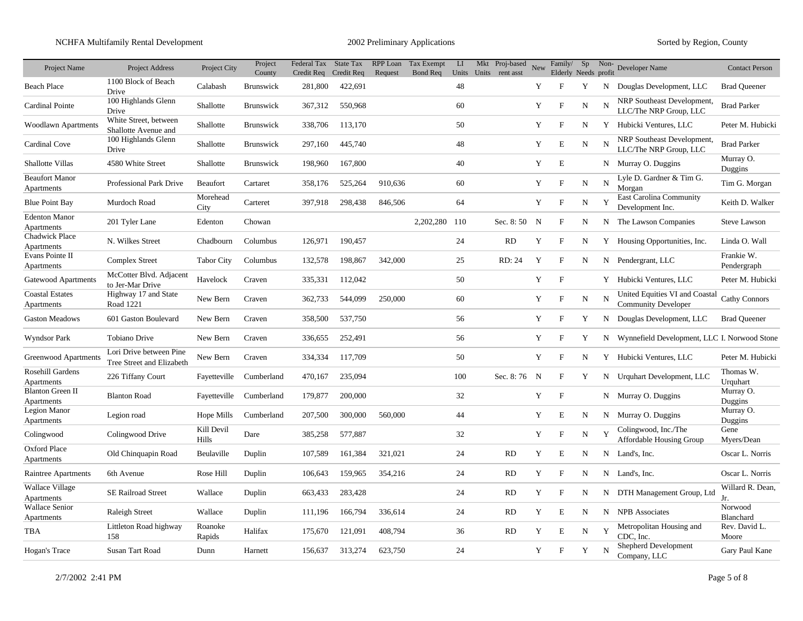| Project Name                          | <b>Project Address</b>                               | Project City        | Project<br>County | Federal Tax State Tax | Credit Req Credit Req | RPP Loan<br>Request | Tax Exempt<br>Bond Req | $\mathbf{L}\mathbf{I}$ | Mkt Proj-based<br>Units Units rent asst | New | Family/<br>Elderly Needs profit | Sp          | Non- | Developer Name                                               | <b>Contact Person</b>     |
|---------------------------------------|------------------------------------------------------|---------------------|-------------------|-----------------------|-----------------------|---------------------|------------------------|------------------------|-----------------------------------------|-----|---------------------------------|-------------|------|--------------------------------------------------------------|---------------------------|
| <b>Beach Place</b>                    | 1100 Block of Beach<br>Drive                         | Calabash            | <b>Brunswick</b>  | 281,800               | 422,691               |                     |                        | 48                     |                                         | Y   | F                               | Y           | N    | Douglas Development, LLC                                     | <b>Brad Queener</b>       |
| Cardinal Pointe                       | 100 Highlands Glenn<br>Drive                         | Shallotte           | <b>Brunswick</b>  | 367,312               | 550,968               |                     |                        | 60                     |                                         | Y   | F                               | N           | N    | NRP Southeast Development,<br>LLC/The NRP Group, LLC         | <b>Brad Parker</b>        |
| <b>Woodlawn Apartments</b>            | White Street, between<br>Shallotte Avenue and        | Shallotte           | <b>Brunswick</b>  | 338,706               | 113,170               |                     |                        | 50                     |                                         | Y   | F                               | N           |      | Y Hubicki Ventures, LLC                                      | Peter M. Hubicki          |
| Cardinal Cove                         | 100 Highlands Glenn<br>Drive                         | Shallotte           | <b>Brunswick</b>  | 297,160               | 445,740               |                     |                        | 48                     |                                         | Y   | E                               | N           | N    | NRP Southeast Development,<br>LLC/The NRP Group, LLC         | <b>Brad Parker</b>        |
| Shallotte Villas                      | 4580 White Street                                    | Shallotte           | <b>Brunswick</b>  | 198,960               | 167,800               |                     |                        | 40                     |                                         | Y   | E                               |             |      | N Murray O. Duggins                                          | Murray O.<br>Duggins      |
| <b>Beaufort Manor</b><br>Apartments   | Professional Park Drive                              | Beaufort            | Cartaret          | 358,176               | 525,264               | 910,636             |                        | 60                     |                                         | Y   | ${\rm F}$                       | N           | N    | Lyle D. Gardner & Tim G.<br>Morgan                           | Tim G. Morgan             |
| <b>Blue Point Bay</b>                 | Murdoch Road                                         | Morehead<br>City    | Carteret          | 397,918               | 298,438               | 846,506             |                        | 64                     |                                         | Y   | $_{\rm F}$                      | $\mathbf N$ | Y    | <b>East Carolina Community</b><br>Development Inc.           | Keith D. Walker           |
| <b>Edenton Manor</b><br>Apartments    | 201 Tyler Lane                                       | Edenton             | Chowan            |                       |                       |                     | 2,202,280              | 110                    | Sec. $8:50$ N                           |     | F                               | N           | N    | The Lawson Companies                                         | <b>Steve Lawson</b>       |
| <b>Chadwick Place</b><br>Apartments   | N. Wilkes Street                                     | Chadbourn           | Columbus          | 126,971               | 190,457               |                     |                        | 24                     | RD                                      | Y   | $_{\rm F}$                      | N           |      | Y Housing Opportunities, Inc.                                | Linda O. Wall             |
| Evans Pointe II<br>Apartments         | <b>Complex Street</b>                                | <b>Tabor City</b>   | Columbus          | 132,578               | 198,867               | 342,000             |                        | 25                     | RD: 24                                  | Y   | F                               | N           |      | N Pendergrant, LLC                                           | Frankie W.<br>Pendergraph |
| Gatewood Apartments                   | McCotter Blvd. Adjacent<br>to Jer-Mar Drive          | Havelock            | Craven            | 335,331               | 112,042               |                     |                        | 50                     |                                         | Y   | F                               |             |      | Y Hubicki Ventures, LLC                                      | Peter M. Hubicki          |
| <b>Coastal Estates</b><br>Apartments  | Highway 17 and State<br>Road 1221                    | New Bern            | Craven            | 362,733               | 544,099               | 250,000             |                        | 60                     |                                         | Y   | F                               | N           | N    | United Equities VI and Coastal<br><b>Community Developer</b> | <b>Cathy Connors</b>      |
| <b>Gaston Meadows</b>                 | 601 Gaston Boulevard                                 | New Bern            | Craven            | 358,500               | 537,750               |                     |                        | 56                     |                                         | Y   | F                               | Y           |      | N Douglas Development, LLC                                   | <b>Brad Queener</b>       |
| <b>Wyndsor Park</b>                   | Tobiano Drive                                        | New Bern            | Craven            | 336,655               | 252,491               |                     |                        | 56                     |                                         | Y   | F                               | Y           | N    | Wynnefield Development, LLC I. Norwood Stone                 |                           |
| <b>Greenwood Apartments</b>           | Lori Drive between Pine<br>Tree Street and Elizabeth | New Bern            | Craven            | 334,334               | 117,709               |                     |                        | 50                     |                                         | Y   | $_{\rm F}$                      | N           |      | Y Hubicki Ventures, LLC                                      | Peter M. Hubicki          |
| Rosehill Gardens<br>Apartments        | 226 Tiffany Court                                    | Fayetteville        | Cumberland        | 470,167               | 235,094               |                     |                        | 100                    | Sec. 8:76 N                             |     | F                               | Y           |      | N Urquhart Development, LLC                                  | Thomas W.<br>Urquhart     |
| <b>Blanton Green II</b><br>Apartments | <b>Blanton Road</b>                                  | Fayetteville        | Cumberland        | 179,877               | 200,000               |                     |                        | 32                     |                                         | Y   | $\boldsymbol{\mathrm{F}}$       |             |      | N Murray O. Duggins                                          | Murray O.<br>Duggins      |
| Legion Manor<br>Apartments            | Legion road                                          | Hope Mills          | Cumberland        | 207,500               | 300,000               | 560,000             |                        | 44                     |                                         | Y   | E                               | N           |      | N Murray O. Duggins                                          | Murray O.<br>Duggins      |
| Colingwood                            | Colingwood Drive                                     | Kill Devil<br>Hills | Dare              | 385,258               | 577,887               |                     |                        | 32                     |                                         | Y   | $_{\rm F}$                      | N           | Y    | Colingwood, Inc./The<br><b>Affordable Housing Group</b>      | Gene<br>Myers/Dean        |
| <b>Oxford Place</b><br>Apartments     | Old Chinquapin Road                                  | Beulaville          | Duplin            | 107,589               | 161,384               | 321,021             |                        | 24                     | <b>RD</b>                               | Y   | E                               | N           |      | N Land's, Inc.                                               | Oscar L. Norris           |
| Raintree Apartments                   | 6th Avenue                                           | Rose Hill           | Duplin            | 106,643               | 159,965               | 354,216             |                        | 24                     | <b>RD</b>                               | Y   | F                               | N           |      | N Land's, Inc.                                               | Oscar L. Norris           |
| <b>Wallace Village</b><br>Apartments  | <b>SE Railroad Street</b>                            | Wallace             | Duplin            | 663,433               | 283,428               |                     |                        | 24                     | <b>RD</b>                               | Y   | F                               | N           | N    | DTH Management Group, Ltd                                    | Willard R. Dean,<br>Jr.   |
| <b>Wallace Senior</b><br>Apartments   | <b>Raleigh Street</b>                                | Wallace             | Duplin            | 111,196               | 166,794               | 336,614             |                        | 24                     | <b>RD</b>                               | Y   | E                               | N           | N    | <b>NPB</b> Associates                                        | Norwood<br>Blanchard      |
| <b>TBA</b>                            | Littleton Road highway<br>158                        | Roanoke<br>Rapids   | Halifax           | 175,670               | 121,091               | 408,794             |                        | 36                     | <b>RD</b>                               | Y   | E                               | $\mathbf N$ | Y    | Metropolitan Housing and<br>CDC. Inc.                        | Rev. David L.<br>Moore    |
| Hogan's Trace                         | Susan Tart Road                                      | Dunn                | Harnett           | 156,637               | 313,274               | 623,750             |                        | 24                     |                                         | Y   | F                               | Y           | N    | Shepherd Development<br>Company, LLC                         | Gary Paul Kane            |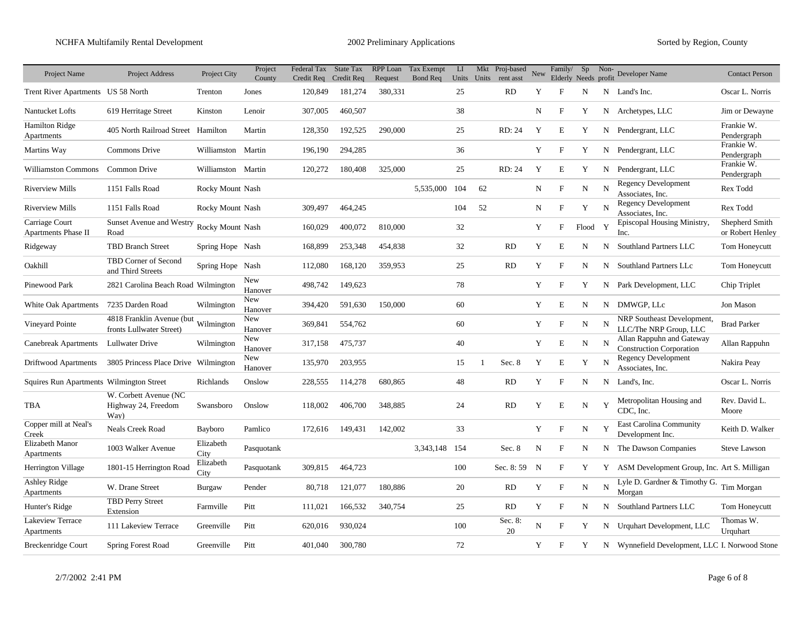| Project Name                             | <b>Project Address</b>                                           | Project City       | Project<br>County | Federal Tax<br>Credit Req | State Tax<br>Credit Req | RPP Loan<br>Request | Tax Exempt<br><b>Bond Req</b> | LI  |                | Mkt Proj-based<br>Units Units rent asst | New | Family/<br>Elderly Needs profit | Sp          | Non-         | Developer Name                                               | <b>Contact Person</b>              |
|------------------------------------------|------------------------------------------------------------------|--------------------|-------------------|---------------------------|-------------------------|---------------------|-------------------------------|-----|----------------|-----------------------------------------|-----|---------------------------------|-------------|--------------|--------------------------------------------------------------|------------------------------------|
| Trent River Apartments US 58 North       |                                                                  | Trenton            | Jones             | 120,849                   | 181,274                 | 380,331             |                               | 25  |                | <b>RD</b>                               | Y   | F                               | N           |              | N Land's Inc.                                                | Oscar L. Norris                    |
| Nantucket Lofts                          | 619 Herritage Street                                             | Kinston            | Lenoir            | 307,005                   | 460,507                 |                     |                               | 38  |                |                                         | N   | $\mathbf{F}$                    | Y           |              | N Archetypes, LLC                                            | Jim or Dewayne                     |
| <b>Hamilton Ridge</b><br>Apartments      | 405 North Railroad Street Hamilton                               |                    | Martin            | 128,350                   | 192,525                 | 290,000             |                               | 25  |                | RD: 24                                  | Y   | E                               | Y           |              | N Pendergrant, LLC                                           | Frankie W.<br>Pendergraph          |
| Martins Way                              | Commons Drive                                                    | Williamston Martin |                   | 196,190                   | 294,285                 |                     |                               | 36  |                |                                         | Y   | $\mathbf{F}$                    | Y           |              | N Pendergrant, LLC                                           | Frankie W.<br>Pendergraph          |
| <b>Williamston Commons</b>               | Common Drive                                                     | Williamston Martin |                   | 120,272                   | 180,408                 | 325,000             |                               | 25  |                | RD: 24                                  | Y   | E                               | Y           | N            | Pendergrant, LLC                                             | Frankie W.<br>Pendergraph          |
| <b>Riverview Mills</b>                   | 1151 Falls Road                                                  | Rocky Mount Nash   |                   |                           |                         |                     | 5,535,000                     | 104 | 62             |                                         | N   | $\mathbf F$                     | N           | N            | <b>Regency Development</b><br>Associates, Inc.               | Rex Todd                           |
| <b>Riverview Mills</b>                   | 1151 Falls Road                                                  | Rocky Mount Nash   |                   | 309,497                   | 464,245                 |                     |                               | 104 | 52             |                                         | N   | $\mathbf{F}$                    | Y           | N            | <b>Regency Development</b><br>Associates, Inc.               | Rex Todd                           |
| Carriage Court<br>Apartments Phase II    | Sunset Avenue and Westry<br>Road                                 | Rocky Mount Nash   |                   | 160,029                   | 400,072                 | 810,000             |                               | 32  |                |                                         | Y   | F                               | Flood       | $\mathbf{Y}$ | Episcopal Housing Ministry,<br>Inc.                          | Shepherd Smith<br>or Robert Henley |
| Ridgeway                                 | <b>TBD Branch Street</b>                                         | Spring Hope Nash   |                   | 168,899                   | 253,348                 | 454,838             |                               | 32  |                | <b>RD</b>                               | Y   | E                               | N           | N            | Southland Partners LLC                                       | Tom Honeycutt                      |
| Oakhill                                  | TBD Corner of Second<br>and Third Streets                        | Spring Hope Nash   |                   | 112,080                   | 168,120                 | 359,953             |                               | 25  |                | <b>RD</b>                               | Y   | F                               | N           | N            | Southland Partners LLc                                       | Tom Honeycutt                      |
| Pinewood Park                            | 2821 Carolina Beach Road Wilmington                              |                    | New<br>Hanover    | 498,742                   | 149,623                 |                     |                               | 78  |                |                                         | Y   | F                               | Y           |              | N Park Development, LLC                                      | Chip Triplet                       |
| White Oak Apartments                     | 7235 Darden Road                                                 | Wilmington         | New<br>Hanover    | 394,420                   | 591,630                 | 150,000             |                               | 60  |                |                                         | Y   | E                               | N           | N            | DMWGP, LLc                                                   | Jon Mason                          |
| Vineyard Pointe                          | 4818 Franklin Avenue (but Wilmington<br>fronts Lullwater Street) |                    | New<br>Hanover    | 369,841                   | 554,762                 |                     |                               | 60  |                |                                         | Y   | $\boldsymbol{\mathrm{F}}$       | ${\bf N}$   | N            | NRP Southeast Development.<br>LLC/The NRP Group, LLC         | <b>Brad Parker</b>                 |
| <b>Canebreak Apartments</b>              | Lullwater Drive                                                  | Wilmington         | New<br>Hanover    | 317,158                   | 475,737                 |                     |                               | 40  |                |                                         | Y   | E                               | N           | N            | Allan Rappuhn and Gateway<br><b>Construction Corporation</b> | Allan Rappuhn                      |
| Driftwood Apartments                     | 3805 Princess Place Drive Wilmington                             |                    | New<br>Hanover    | 135,970                   | 203,955                 |                     |                               | 15  | $\overline{1}$ | Sec. 8                                  | Y   | E                               | Y           | N            | <b>Regency Development</b><br>Associates, Inc.               | Nakira Peay                        |
| Squires Run Apartments Wilmington Street |                                                                  | Richlands          | Onslow            | 228,555                   | 114,278                 | 680,865             |                               | 48  |                | <b>RD</b>                               | Y   | $\mathbf{F}$                    | N           | N            | Land's, Inc.                                                 | Oscar L. Norris                    |
| TBA                                      | W. Corbett Avenue (NC<br>Highway 24, Freedom<br>Way)             | Swansboro          | Onslow            | 118,002                   | 406,700                 | 348,885             |                               | 24  |                | <b>RD</b>                               | Y   | E                               | N           | Y            | Metropolitan Housing and<br>CDC, Inc.                        | Rev. David L.<br>Moore             |
| Copper mill at Neal's<br>Creek           | <b>Neals Creek Road</b>                                          | Bayboro            | Pamlico           | 172,616                   | 149,431                 | 142,002             |                               | 33  |                |                                         | Y   | $\mathbf{F}$                    | $\mathbf N$ | Y            | <b>East Carolina Community</b><br>Development Inc.           | Keith D. Walker                    |
| Elizabeth Manor<br>Apartments            | 1003 Walker Avenue                                               | Elizabeth<br>City  | Pasquotank        |                           |                         |                     | 3,343,148                     | 154 |                | Sec. 8                                  | N   | F                               | N           | N            | The Dawson Companies                                         | <b>Steve Lawson</b>                |
| Herrington Village                       | 1801-15 Herrington Road                                          | Elizabeth<br>City  | Pasquotank        | 309,815                   | 464,723                 |                     |                               | 100 |                | Sec. 8:59                               | N   | $\mathbf{F}$                    | Y           | Y            | ASM Development Group, Inc. Art S. Milligan                  |                                    |
| Ashley Ridge<br>Apartments               | W. Drane Street                                                  | Burgaw             | Pender            | 80,718                    | 121,077                 | 180,886             |                               | 20  |                | <b>RD</b>                               | Y   | $\mathbf{F}$                    | N           | N            | Lyle D. Gardner & Timothy G.<br>Morgan                       | Tim Morgan                         |
| Hunter's Ridge                           | <b>TBD Perry Street</b><br>Extension                             | Farmville          | Pitt              | 111,021                   | 166,532                 | 340,754             |                               | 25  |                | <b>RD</b>                               | Y   | $\mathbf F$                     | N           | N            | Southland Partners LLC                                       | Tom Honeycutt                      |
| Lakeview Terrace<br>Apartments           | 111 Lakeview Terrace                                             | Greenville         | Pitt              | 620,016                   | 930,024                 |                     |                               | 100 |                | Sec. 8:<br>20                           | N   | F                               | Y           | N            | Urquhart Development, LLC                                    | Thomas W.<br>Urquhart              |
| <b>Breckenridge Court</b>                | Spring Forest Road                                               | Greenville         | Pitt              | 401,040                   | 300,780                 |                     |                               | 72  |                |                                         | Y   | F                               | Y           |              | N Wynnefield Development, LLC I. Norwood Stone               |                                    |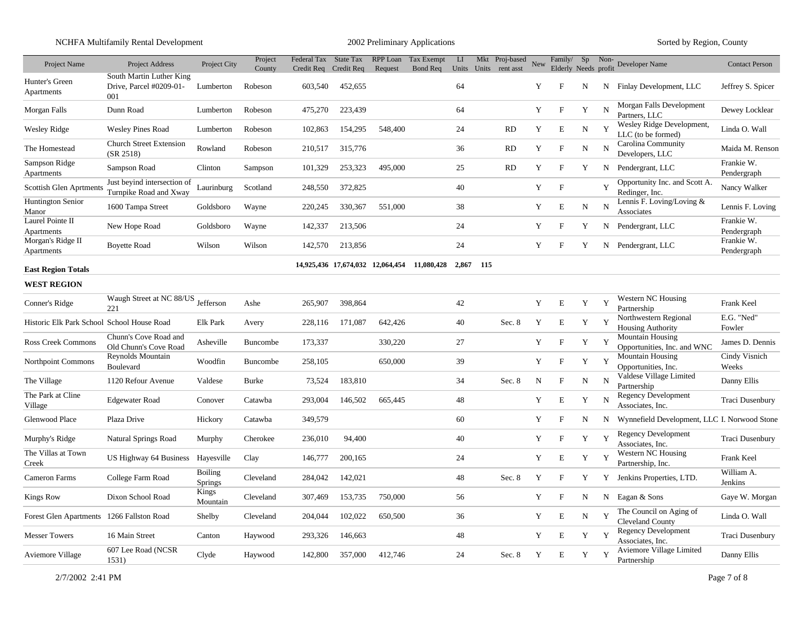NCHFA Multifamily Rental Development 2002 Preliminary Applications Sorted by Region, County

| Project Name                               | <b>Project Address</b>                                     | Project City              | Project<br>County | Federal Tax<br>Credit Rea | <b>State Tax</b><br>Credit Req | RPP Loan<br>Request | Tax Exempt<br>Bond Req                      | LI |           | Mkt Proj-based<br>Units Units rent asst | New | Family/<br>Elderly Needs profit | Sp          | Non- | Developer Name                                         | <b>Contact Person</b>     |
|--------------------------------------------|------------------------------------------------------------|---------------------------|-------------------|---------------------------|--------------------------------|---------------------|---------------------------------------------|----|-----------|-----------------------------------------|-----|---------------------------------|-------------|------|--------------------------------------------------------|---------------------------|
| Hunter's Green<br>Apartments               | South Martin Luther King<br>Drive, Parcel #0209-01-<br>001 | Lumberton                 | Robeson           | 603,540                   | 452,655                        |                     |                                             | 64 |           |                                         | Y   | F                               | N           | N    | Finlay Development, LLC                                | Jeffrey S. Spicer         |
| Morgan Falls                               | Dunn Road                                                  | Lumberton                 | Robeson           | 475,270                   | 223,439                        |                     |                                             | 64 |           |                                         | Y   | $\mathbf F$                     | Y           | N    | Morgan Falls Development<br>Partners, LLC              | Dewey Locklear            |
| <b>Wesley Ridge</b>                        | <b>Wesley Pines Road</b>                                   | Lumberton                 | Robeson           | 102,863                   | 154,295                        | 548,400             |                                             | 24 |           | <b>RD</b>                               | Y   | E                               | $\mathbf N$ | Y    | Wesley Ridge Development,<br>LLC (to be formed)        | Linda O. Wall             |
| The Homestead                              | <b>Church Street Extension</b><br>(SR 2518)                | Rowland                   | Robeson           | 210,517                   | 315,776                        |                     |                                             | 36 |           | <b>RD</b>                               | Y   | $\boldsymbol{\mathrm{F}}$       | N           | N    | Carolina Community<br>Developers, LLC                  | Maida M. Renson           |
| Sampson Ridge<br>Apartments                | Sampson Road                                               | Clinton                   | Sampson           | 101,329                   | 253,323                        | 495,000             |                                             | 25 |           | RD                                      | Y   | $\mathbf F$                     | Y           | N    | Pendergrant, LLC                                       | Frankie W.<br>Pendergraph |
| Scottish Glen Aprtments                    | Just beyind intersection of<br>Turnpike Road and Xway      | Laurinburg                | Scotland          | 248,550                   | 372,825                        |                     |                                             | 40 |           |                                         | Y   | $\mathbf F$                     |             | v    | Opportunity Inc. and Scott A.<br>Redinger, Inc.        | Nancy Walker              |
| <b>Huntington Senior</b><br>Manor          | 1600 Tampa Street                                          | Goldsboro                 | Wayne             | 220,245                   | 330,367                        | 551,000             |                                             | 38 |           |                                         | Y   | E                               | N           | N    | Lennis F. Loving/Loving &<br>Associates                | Lennis F. Loving          |
| Laurel Pointe II<br>Apartments             | New Hope Road                                              | Goldsboro                 | Wayne             | 142,337                   | 213,506                        |                     |                                             | 24 |           |                                         | Y   | $\mathbf{F}$                    | Y           |      | N Pendergrant, LLC                                     | Frankie W.<br>Pendergraph |
| Morgan's Ridge II<br>Apartments            | <b>Boyette Road</b>                                        | Wilson                    | Wilson            | 142,570                   | 213,856                        |                     |                                             | 24 |           |                                         | Y   | $\mathbf{F}$                    | Y           |      | N Pendergrant, LLC                                     | Frankie W.<br>Pendergraph |
| <b>East Region Totals</b>                  |                                                            |                           |                   |                           |                                |                     | 14,925,436 17,674,032 12,064,454 11,080,428 |    | 2.867 115 |                                         |     |                                 |             |      |                                                        |                           |
| <b>WEST REGION</b>                         |                                                            |                           |                   |                           |                                |                     |                                             |    |           |                                         |     |                                 |             |      |                                                        |                           |
| Conner's Ridge                             | Waugh Street at NC 88/US<br>221                            | Jefferson                 | Ashe              | 265,907                   | 398,864                        |                     |                                             | 42 |           |                                         | Y   | E                               | Y           | Y    | Western NC Housing<br>Partnership                      | Frank Keel                |
| Historic Elk Park School School House Road |                                                            | Elk Park                  | Avery             | 228,116                   | 171,087                        | 642,426             |                                             | 40 |           | Sec. 8                                  | Y   | E                               | Y           | Y    | Northwestern Regional<br><b>Housing Authority</b>      | E.G. "Ned"<br>Fowler      |
| Ross Creek Commons                         | Chunn's Cove Road and<br>Old Chunn's Cove Road             | Asheville                 | Buncombe          | 173,337                   |                                | 330,220             |                                             | 27 |           |                                         | Y   | $\mathbf F$                     | Y           | Y    | <b>Mountain Housing</b><br>Opportunities, Inc. and WNC | James D. Dennis           |
| <b>Northpoint Commons</b>                  | Reynolds Mountain<br>Boulevard                             | Woodfin                   | <b>Buncombe</b>   | 258,105                   |                                | 650,000             |                                             | 39 |           |                                         | Y   | $\mathbf{F}$                    | Y           | Y    | <b>Mountain Housing</b><br>Opportunities, Inc.         | Cindy Visnich<br>Weeks    |
| The Village                                | 1120 Refour Avenue                                         | Valdese                   | <b>Burke</b>      | 73,524                    | 183,810                        |                     |                                             | 34 |           | Sec. 8                                  | N   | $\mathbf{F}$                    | N           | N    | Valdese Village Limited<br>Partnership                 | Danny Ellis               |
| The Park at Cline<br>Village               | <b>Edgewater Road</b>                                      | Conover                   | Catawba           | 293,004                   | 146,502                        | 665,445             |                                             | 48 |           |                                         | Y   | E                               | Y           | N    | Regency Development<br>Associates, Inc.                | Traci Dusenbury           |
| Glenwood Place                             | Plaza Drive                                                | Hickory                   | Catawba           | 349,579                   |                                |                     |                                             | 60 |           |                                         | Y   | $\boldsymbol{\mathrm{F}}$       | N           | N    | Wynnefield Development, LLC I. Norwood Stone           |                           |
| Murphy's Ridge                             | Natural Springs Road                                       | Murphy                    | Cherokee          | 236,010                   | 94,400                         |                     |                                             | 40 |           |                                         | Y   | $\boldsymbol{\mathrm{F}}$       | Y           | Y    | <b>Regency Development</b><br>Associates, Inc.         | Traci Dusenbury           |
| The Villas at Town<br>Creek                | US Highway 64 Business                                     | Hayesville                | Clay              | 146,777                   | 200,165                        |                     |                                             | 24 |           |                                         | Y   | Ε                               | Y           | Y    | Western NC Housing<br>Partnership, Inc.                | Frank Keel                |
| Cameron Farms                              | College Farm Road                                          | <b>Boiling</b><br>Springs | Cleveland         | 284,042                   | 142,021                        |                     |                                             | 48 |           | Sec. 8                                  | Y   | $\mathbf F$                     | Y           | Y    | Jenkins Properties, LTD.                               | William A.<br>Jenkins     |
| <b>Kings Row</b>                           | Dixon School Road                                          | Kings<br>Mountain         | Cleveland         | 307,469                   | 153,735                        | 750,000             |                                             | 56 |           |                                         | Y   | $\mathbf{F}$                    | N           | N    | Eagan & Sons                                           | Gaye W. Morgan            |
| Forest Glen Apartments 1266 Fallston Road  |                                                            | Shelby                    | Cleveland         | 204,044                   | 102,022                        | 650,500             |                                             | 36 |           |                                         | Y   | E                               | $\mathbf N$ | Y    | The Council on Aging of<br><b>Cleveland County</b>     | Linda O. Wall             |
| <b>Messer Towers</b>                       | 16 Main Street                                             | Canton                    | Haywood           | 293,326                   | 146,663                        |                     |                                             | 48 |           |                                         | Y   | $\mathbf E$                     | Y           | Y    | Regency Development<br>Associates, Inc.                | Traci Dusenbury           |
| Aviemore Village                           | 607 Lee Road (NCSR<br>1531)                                | Clyde                     | Haywood           | 142,800                   | 357,000                        | 412,746             |                                             | 24 |           | Sec. 8                                  | Y   | E                               | Y           | Y    | Aviemore Village Limited<br>Partnership                | Danny Ellis               |